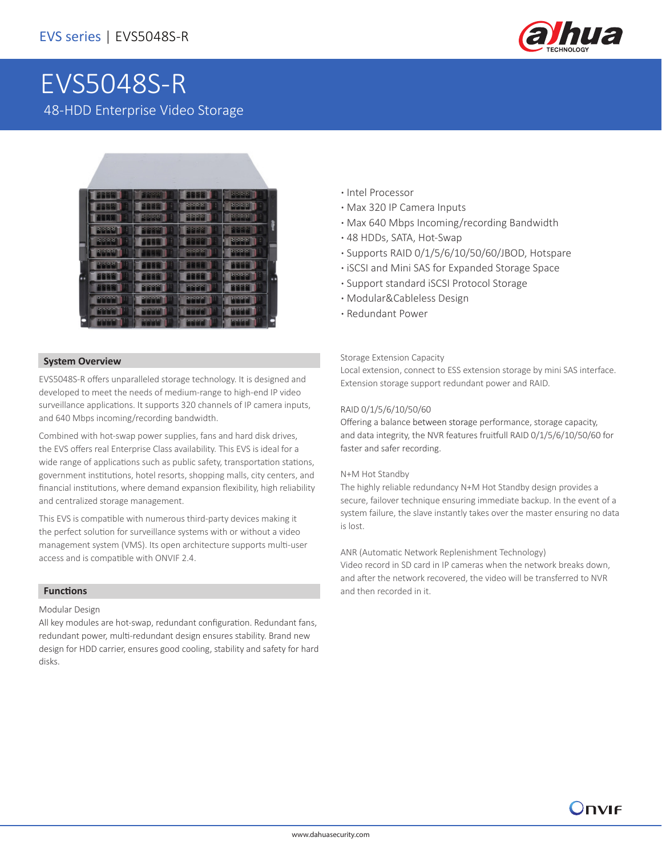

# EVS5048S-R 48-HDD Enterprise Video Storage



### **System Overview**

EVS5048S-R offers unparalleled storage technology. It is designed and developed to meet the needs of medium-range to high-end IP video surveillance applications. It supports 320 channels of IP camera inputs, and 640 Mbps incoming/recording bandwidth.

Combined with hot-swap power supplies, fans and hard disk drives, the EVS offers real Enterprise Class availability. This EVS is ideal for a wide range of applications such as public safety, transportation stations, government institutions, hotel resorts, shopping malls, city centers, and financial institutions, where demand expansion flexibility, high reliability and centralized storage management.

This EVS is compatible with numerous third-party devices making it the perfect solution for surveillance systems with or without a video management system (VMS). Its open architecture supports multi-user access and is compatible with ONVIF 2.4.

### **Functions**

Modular Design

All key modules are hot-swap, redundant configuration. Redundant fans, redundant power, multi-redundant design ensures stability. Brand new design for HDD carrier, ensures good cooling, stability and safety for hard disks.

- **·** Intel Processor
- **·** Max 320 IP Camera Inputs
- **·** Max 640 Mbps Incoming/recording Bandwidth
- **·** 48 HDDs, SATA, Hot-Swap
- **·** Supports RAID 0/1/5/6/10/50/60/JBOD, Hotspare
- **·** iSCSI and Mini SAS for Expanded Storage Space
- **·** Support standard iSCSI Protocol Storage
- **·** Modular&Cableless Design
- **·** Redundant Power

### Storage Extension Capacity

Local extension, connect to ESS extension storage by mini SAS interface. Extension storage support redundant power and RAID.

### RAID 0/1/5/6/10/50/60

Offering a balance between storage performance, storage capacity, and data integrity, the NVR features fruitfull RAID 0/1/5/6/10/50/60 for faster and safer recording.

#### N+M Hot Standby

The highly reliable redundancy N+M Hot Standby design provides a secure, failover technique ensuring immediate backup. In the event of a system failure, the slave instantly takes over the master ensuring no data is lost.

### ANR (Automatic Network Replenishment Technology)

Video record in SD card in IP cameras when the network breaks down, and after the network recovered, the video will be transferred to NVR and then recorded in it.

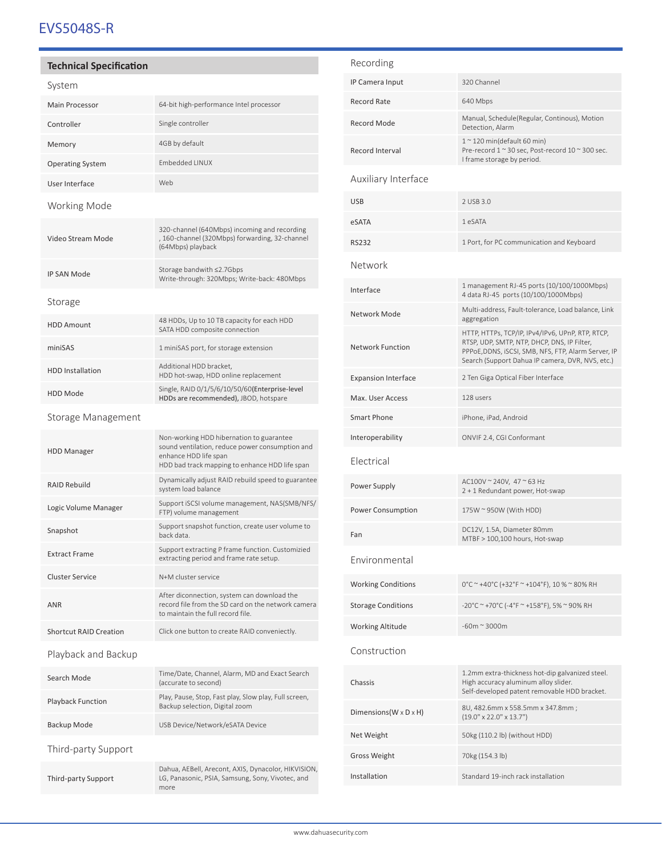# EVS5048S-R

# **Technical Specification**

| System                        |                                                                                                                                                                        |  |
|-------------------------------|------------------------------------------------------------------------------------------------------------------------------------------------------------------------|--|
| Main Processor                | 64-bit high-performance Intel processor                                                                                                                                |  |
| Controller                    | Single controller                                                                                                                                                      |  |
| Memory                        | 4GB by default                                                                                                                                                         |  |
| <b>Operating System</b>       | <b>Embedded LINUX</b>                                                                                                                                                  |  |
| User Interface                | Web                                                                                                                                                                    |  |
| Working Mode                  |                                                                                                                                                                        |  |
| Video Stream Mode             | 320-channel (640Mbps) incoming and recording<br>, 160-channel (320Mbps) forwarding, 32-channel<br>(64Mbps) playback                                                    |  |
| <b>IP SAN Mode</b>            | Storage bandwith ≤2.7Gbps<br>Write-through: 320Mbps; Write-back: 480Mbps                                                                                               |  |
| Storage                       |                                                                                                                                                                        |  |
| <b>HDD Amount</b>             | 48 HDDs, Up to 10 TB capacity for each HDD<br>SATA HDD composite connection                                                                                            |  |
| miniSAS                       | 1 miniSAS port, for storage extension                                                                                                                                  |  |
| <b>HDD Installation</b>       | Additional HDD bracket,<br>HDD hot-swap, HDD online replacement                                                                                                        |  |
| <b>HDD Mode</b>               | Single, RAID 0/1/5/6/10/50/60(Enterprise-level<br>HDDs are recommended), JBOD, hotspare                                                                                |  |
| Storage Management            |                                                                                                                                                                        |  |
| <b>HDD Manager</b>            | Non-working HDD hibernation to guarantee<br>sound ventilation, reduce power consumption and<br>enhance HDD life span<br>HDD bad track mapping to enhance HDD life span |  |
| <b>RAID Rebuild</b>           | Dynamically adjust RAID rebuild speed to guarantee<br>system load balance                                                                                              |  |
| Logic Volume Manager          | Support iSCSI volume management, NAS(SMB/NFS/<br>FTP) volume management                                                                                                |  |
| Snapshot                      | Support snapshot function, create user volume to<br>back data.                                                                                                         |  |
| <b>Extract Frame</b>          | Support extracting P frame function. Customizied<br>extracting period and frame rate setup.                                                                            |  |
| <b>Cluster Service</b>        | N+M cluster service                                                                                                                                                    |  |
| <b>ANR</b>                    | After diconnection, system can download the<br>record file from the SD card on the network camera<br>to maintain the full record file.                                 |  |
| <b>Shortcut RAID Creation</b> | Click one button to create RAID conveniectly.                                                                                                                          |  |
| Playback and Backup           |                                                                                                                                                                        |  |
| Search Mode                   | Time/Date, Channel, Alarm, MD and Exact Search<br>(accurate to second)                                                                                                 |  |
| <b>Playback Function</b>      | Play, Pause, Stop, Fast play, Slow play, Full screen,<br>Backup selection, Digital zoom                                                                                |  |
| Backup Mode                   | USB Device/Network/eSATA Device                                                                                                                                        |  |
| Third-party Support           |                                                                                                                                                                        |  |
| Third-party Support           | Dahua, AEBell, Arecont, AXIS, Dynacolor, HIKVISION,<br>LG, Panasonic, PSIA, Samsung, Sony, Vivotec, and<br>more                                                        |  |
|                               |                                                                                                                                                                        |  |

| Recording                            |                                                                                                                                                                                                            |
|--------------------------------------|------------------------------------------------------------------------------------------------------------------------------------------------------------------------------------------------------------|
| IP Camera Input                      | 320 Channel                                                                                                                                                                                                |
| Record Rate                          | 640 Mbps                                                                                                                                                                                                   |
| Record Mode                          | Manual, Schedule(Regular, Continous), Motion<br>Detection, Alarm                                                                                                                                           |
| Record Interval                      | $12$ 120 min(default 60 min)<br>Pre-record 1 ~ 30 sec, Post-record 10 ~ 300 sec.<br>I frame storage by period.                                                                                             |
| Auxiliary Interface                  |                                                                                                                                                                                                            |
| USB                                  | 2 USB 3.0                                                                                                                                                                                                  |
| eSATA                                | 1 eSATA                                                                                                                                                                                                    |
| RS232                                | 1 Port, for PC communication and Keyboard                                                                                                                                                                  |
| Network                              |                                                                                                                                                                                                            |
| Interface                            | 1 management RJ-45 ports (10/100/1000Mbps)<br>4 data RJ-45 ports (10/100/1000Mbps)                                                                                                                         |
| Network Mode                         | Multi-address, Fault-tolerance, Load balance, Link<br>aggregation                                                                                                                                          |
| Network Function                     | HTTP, HTTPs, TCP/IP, IPv4/IPv6, UPnP, RTP, RTCP,<br>RTSP, UDP, SMTP, NTP, DHCP, DNS, IP Filter,<br>PPPoE, DDNS, iSCSI, SMB, NFS, FTP, Alarm Server, IP<br>Search (Support Dahua IP camera, DVR, NVS, etc.) |
| <b>Expansion Interface</b>           | 2 Ten Giga Optical Fiber Interface                                                                                                                                                                         |
| Max. User Access                     | 128 users                                                                                                                                                                                                  |
| Smart Phone                          | iPhone, iPad, Android                                                                                                                                                                                      |
| Interoperability                     | ONVIF 2.4, CGI Conformant                                                                                                                                                                                  |
| Electrical                           |                                                                                                                                                                                                            |
| Power Supply                         | AC100V ~ 240V, 47 ~ 63 Hz<br>2 + 1 Redundant power, Hot-swap                                                                                                                                               |
| Power Consumption                    | 175W ~ 950W (With HDD)                                                                                                                                                                                     |
| Fan                                  | DC12V, 1.5A, Diameter 80mm<br>MTBF > 100,100 hours, Hot-swap                                                                                                                                               |
| Environmental                        |                                                                                                                                                                                                            |
| <b>Working Conditions</b>            | 0°C ~ +40°C (+32°F ~ +104°F), 10 % ~ 80% RH                                                                                                                                                                |
| <b>Storage Conditions</b>            | -20°C ~ +70°C (-4°F ~ +158°F), 5% ~ 90% RH                                                                                                                                                                 |
| Working Altitude                     | $-60m \approx 3000m$                                                                                                                                                                                       |
| Construction                         |                                                                                                                                                                                                            |
| Chassis                              | 1.2mm extra-thickness hot-dip galvanized steel.<br>High accuracy aluminum alloy slider.<br>Self-developed patent removable HDD bracket.                                                                    |
| Dimensions (W $\times$ D $\times$ H) | 8U, 482.6mm x 558.5mm x 347.8mm;<br>$(19.0'' \times 22.0'' \times 13.7'')$                                                                                                                                 |
| Net Weight                           | 50kg (110.2 lb) (without HDD)                                                                                                                                                                              |
| Gross Weight                         | 70kg (154.3 lb)                                                                                                                                                                                            |
| Installation                         | Standard 19-inch rack installation                                                                                                                                                                         |